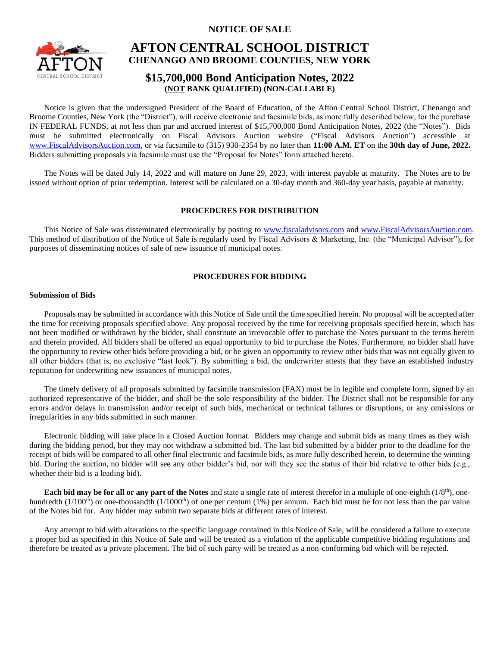**NOTICE OF SALE**



# **AFTON CENTRAL SCHOOL DISTRICT CHENANGO AND BROOME COUNTIES, NEW YORK**

# **\$15,700,000 Bond Anticipation Notes, 2022 (NOT BANK QUALIFIED) (NON-CALLABLE)**

Notice is given that the undersigned President of the Board of Education, of the Afton Central School District, Chenango and Broome Counties, New York (the "District"), will receive electronic and facsimile bids, as more fully described below, for the purchase IN FEDERAL FUNDS, at not less than par and accrued interest of \$15,700,000 Bond Anticipation Notes, 2022 (the "Notes"). Bids must be submitted electronically on Fiscal Advisors Auction website ("Fiscal Advisors Auction") accessible at [www.FiscalAdvisorsAuction.com,](http://www.fiscaladvisorsauction.com/) or via facsimile to (315) 930-2354 by no later than **11:00 A.M. ET** on the **30th day of June, 2022.** Bidders submitting proposals via facsimile must use the "Proposal for Notes" form attached hereto.

The Notes will be dated July 14, 2022 and will mature on June 29, 2023, with interest payable at maturity. The Notes are to be issued without option of prior redemption. Interest will be calculated on a 30-day month and 360-day year basis, payable at maturity.

# **PROCEDURES FOR DISTRIBUTION**

This Notice of Sale was disseminated electronically by posting to [www.fiscaladvisors.com](http://www.fiscaladvisors.com/) and [www.FiscalAdvisorsAuction.com.](http://www.fiscaladvisorsauction.com/) This method of distribution of the Notice of Sale is regularly used by Fiscal Advisors & Marketing, Inc. (the "Municipal Advisor"), for purposes of disseminating notices of sale of new issuance of municipal notes.

# **PROCEDURES FOR BIDDING**

## **Submission of Bids**

Proposals may be submitted in accordance with this Notice of Sale until the time specified herein. No proposal will be accepted after the time for receiving proposals specified above. Any proposal received by the time for receiving proposals specified herein, which has not been modified or withdrawn by the bidder, shall constitute an irrevocable offer to purchase the Notes pursuant to the terms herein and therein provided. All bidders shall be offered an equal opportunity to bid to purchase the Notes. Furthermore, no bidder shall have the opportunity to review other bids before providing a bid, or be given an opportunity to review other bids that was not equally given to all other bidders (that is, no exclusive "last look"). By submitting a bid, the underwriter attests that they have an established industry reputation for underwriting new issuances of municipal notes.

The timely delivery of all proposals submitted by facsimile transmission (FAX) must be in legible and complete form, signed by an authorized representative of the bidder, and shall be the sole responsibility of the bidder. The District shall not be responsible for any errors and/or delays in transmission and/or receipt of such bids, mechanical or technical failures or disruptions, or any omissions or irregularities in any bids submitted in such manner.

Electronic bidding will take place in a Closed Auction format. Bidders may change and submit bids as many times as they wish during the bidding period, but they may not withdraw a submitted bid. The last bid submitted by a bidder prior to the deadline for the receipt of bids will be compared to all other final electronic and facsimile bids, as more fully described herein, to determine the winning bid. During the auction, no bidder will see any other bidder's bid, nor will they see the status of their bid relative to other bids (e.g., whether their bid is a leading bid).

**Each bid may be for all or any part of the Notes** and state a single rate of interest therefor in a multiple of one-eighth (1/8<sup>th</sup>), onehundredth  $(1/100<sup>th</sup>)$  or one-thousandth  $(1/1000<sup>th</sup>)$  of one per centum (1%) per annum. Each bid must be for not less than the par value of the Notes bid for. Any bidder may submit two separate bids at different rates of interest.

Any attempt to bid with alterations to the specific language contained in this Notice of Sale, will be considered a failure to execute a proper bid as specified in this Notice of Sale and will be treated as a violation of the applicable competitive bidding regulations and therefore be treated as a private placement. The bid of such party will be treated as a non-conforming bid which will be rejected.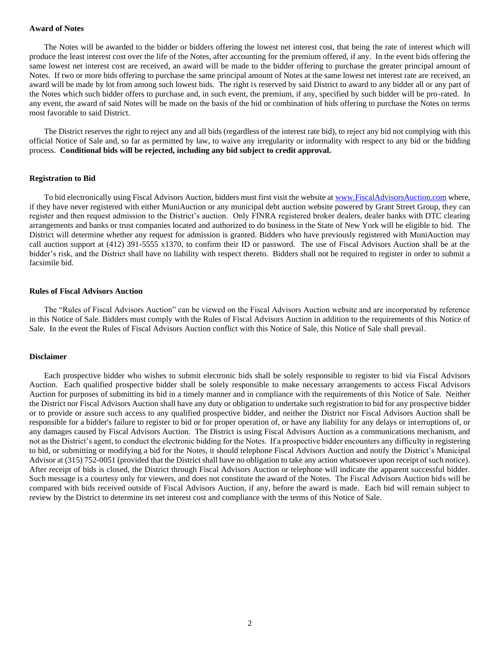#### **Award of Notes**

The Notes will be awarded to the bidder or bidders offering the lowest net interest cost, that being the rate of interest which will produce the least interest cost over the life of the Notes, after accounting for the premium offered, if any. In the event bids offering the same lowest net interest cost are received, an award will be made to the bidder offering to purchase the greater principal amount of Notes. If two or more bids offering to purchase the same principal amount of Notes at the same lowest net interest rate are received, an award will be made by lot from among such lowest bids. The right is reserved by said District to award to any bidder all or any part of the Notes which such bidder offers to purchase and, in such event, the premium, if any, specified by such bidder will be pro-rated. In any event, the award of said Notes will be made on the basis of the bid or combination of bids offering to purchase the Notes on terms most favorable to said District.

The District reserves the right to reject any and all bids (regardless of the interest rate bid), to reject any bid not complying with this official Notice of Sale and, so far as permitted by law, to waive any irregularity or informality with respect to any bid or the bidding process. **Conditional bids will be rejected, including any bid subject to credit approval.**

#### **Registration to Bid**

To bid electronically using Fiscal Advisors Auction, bidders must first visit the website at [www.FiscalAdvisorsAuction.com](http://www.fiscaladvisorsauction.com/) where, if they have never registered with either MuniAuction or any municipal debt auction website powered by Grant Street Group, they can register and then request admission to the District's auction. Only FINRA registered broker dealers, dealer banks with DTC clearing arrangements and banks or trust companies located and authorized to do business in the State of New York will be eligible to bid. The District will determine whether any request for admission is granted. Bidders who have previously registered with MuniAuction may call auction support at (412) 391-5555 x1370, to confirm their ID or password. The use of Fiscal Advisors Auction shall be at the bidder's risk, and the District shall have no liability with respect thereto. Bidders shall not be required to register in order to submit a facsimile bid.

#### **Rules of Fiscal Advisors Auction**

The "Rules of Fiscal Advisors Auction" can be viewed on the Fiscal Advisors Auction website and are incorporated by reference in this Notice of Sale. Bidders must comply with the Rules of Fiscal Advisors Auction in addition to the requirements of this Notice of Sale. In the event the Rules of Fiscal Advisors Auction conflict with this Notice of Sale, this Notice of Sale shall prevail.

#### **Disclaimer**

Each prospective bidder who wishes to submit electronic bids shall be solely responsible to register to bid via Fiscal Advisors Auction. Each qualified prospective bidder shall be solely responsible to make necessary arrangements to access Fiscal Advisors Auction for purposes of submitting its bid in a timely manner and in compliance with the requirements of this Notice of Sale. Neither the District nor Fiscal Advisors Auction shall have any duty or obligation to undertake such registration to bid for any prospective bidder or to provide or assure such access to any qualified prospective bidder, and neither the District nor Fiscal Advisors Auction shall be responsible for a bidder's failure to register to bid or for proper operation of, or have any liability for any delays or interruptions of, or any damages caused by Fiscal Advisors Auction. The District is using Fiscal Advisors Auction as a communications mechanism, and not as the District's agent, to conduct the electronic bidding for the Notes. If a prospective bidder encounters any difficulty in registering to bid, or submitting or modifying a bid for the Notes, it should telephone Fiscal Advisors Auction and notify the District's Municipal Advisor at (315) 752-0051 (provided that the District shall have no obligation to take any action whatsoever upon receipt of such notice). After receipt of bids is closed, the District through Fiscal Advisors Auction or telephone will indicate the apparent successful bidder. Such message is a courtesy only for viewers, and does not constitute the award of the Notes. The Fiscal Advisors Auction bids will be compared with bids received outside of Fiscal Advisors Auction, if any, before the award is made. Each bid will remain subject to review by the District to determine its net interest cost and compliance with the terms of this Notice of Sale.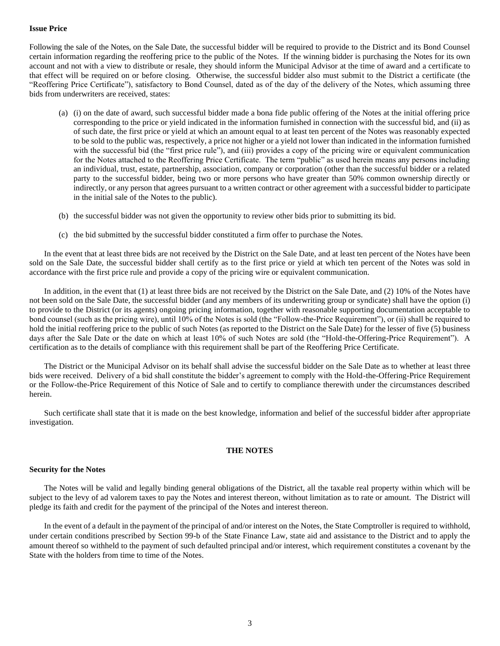## **Issue Price**

Following the sale of the Notes, on the Sale Date, the successful bidder will be required to provide to the District and its Bond Counsel certain information regarding the reoffering price to the public of the Notes. If the winning bidder is purchasing the Notes for its own account and not with a view to distribute or resale, they should inform the Municipal Advisor at the time of award and a certificate to that effect will be required on or before closing. Otherwise, the successful bidder also must submit to the District a certificate (the "Reoffering Price Certificate"), satisfactory to Bond Counsel, dated as of the day of the delivery of the Notes, which assuming three bids from underwriters are received, states:

- (a) (i) on the date of award, such successful bidder made a bona fide public offering of the Notes at the initial offering price corresponding to the price or yield indicated in the information furnished in connection with the successful bid, and (ii) as of such date, the first price or yield at which an amount equal to at least ten percent of the Notes was reasonably expected to be sold to the public was, respectively, a price not higher or a yield not lower than indicated in the information furnished with the successful bid (the "first price rule"), and (iii) provides a copy of the pricing wire or equivalent communication for the Notes attached to the Reoffering Price Certificate. The term "public" as used herein means any persons including an individual, trust, estate, partnership, association, company or corporation (other than the successful bidder or a related party to the successful bidder, being two or more persons who have greater than 50% common ownership directly or indirectly, or any person that agrees pursuant to a written contract or other agreement with a successful bidder to participate in the initial sale of the Notes to the public).
- (b) the successful bidder was not given the opportunity to review other bids prior to submitting its bid.
- (c) the bid submitted by the successful bidder constituted a firm offer to purchase the Notes.

In the event that at least three bids are not received by the District on the Sale Date, and at least ten percent of the Notes have been sold on the Sale Date, the successful bidder shall certify as to the first price or yield at which ten percent of the Notes was sold in accordance with the first price rule and provide a copy of the pricing wire or equivalent communication.

In addition, in the event that (1) at least three bids are not received by the District on the Sale Date, and (2) 10% of the Notes have not been sold on the Sale Date, the successful bidder (and any members of its underwriting group or syndicate) shall have the option (i) to provide to the District (or its agents) ongoing pricing information, together with reasonable supporting documentation acceptable to bond counsel (such as the pricing wire), until 10% of the Notes is sold (the "Follow-the-Price Requirement"), or (ii) shall be required to hold the initial reoffering price to the public of such Notes (as reported to the District on the Sale Date) for the lesser of five (5) business days after the Sale Date or the date on which at least 10% of such Notes are sold (the "Hold-the-Offering-Price Requirement"). A certification as to the details of compliance with this requirement shall be part of the Reoffering Price Certificate.

The District or the Municipal Advisor on its behalf shall advise the successful bidder on the Sale Date as to whether at least three bids were received. Delivery of a bid shall constitute the bidder's agreement to comply with the Hold-the-Offering-Price Requirement or the Follow-the-Price Requirement of this Notice of Sale and to certify to compliance therewith under the circumstances described herein.

Such certificate shall state that it is made on the best knowledge, information and belief of the successful bidder after appropriate investigation.

# **THE NOTES**

#### **Security for the Notes**

The Notes will be valid and legally binding general obligations of the District, all the taxable real property within which will be subject to the levy of ad valorem taxes to pay the Notes and interest thereon, without limitation as to rate or amount. The District will pledge its faith and credit for the payment of the principal of the Notes and interest thereon.

In the event of a default in the payment of the principal of and/or interest on the Notes, the State Comptroller is required to withhold, under certain conditions prescribed by Section 99-b of the State Finance Law, state aid and assistance to the District and to apply the amount thereof so withheld to the payment of such defaulted principal and/or interest, which requirement constitutes a covenant by the State with the holders from time to time of the Notes.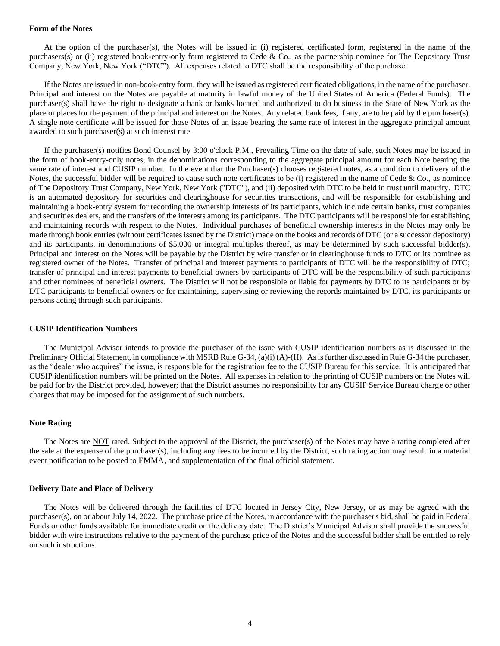#### **Form of the Notes**

At the option of the purchaser(s), the Notes will be issued in (i) registered certificated form, registered in the name of the purchasers(s) or (ii) registered book-entry-only form registered to Cede & Co., as the partnership nominee for The Depository Trust Company, New York, New York ("DTC"). All expenses related to DTC shall be the responsibility of the purchaser.

If the Notes are issued in non-book-entry form, they will be issued as registered certificated obligations, in the name of the purchaser. Principal and interest on the Notes are payable at maturity in lawful money of the United States of America (Federal Funds). The purchaser(s) shall have the right to designate a bank or banks located and authorized to do business in the State of New York as the place or places for the payment of the principal and interest on the Notes. Any related bank fees, if any, are to be paid by the purchaser(s). A single note certificate will be issued for those Notes of an issue bearing the same rate of interest in the aggregate principal amount awarded to such purchaser(s) at such interest rate.

If the purchaser(s) notifies Bond Counsel by 3:00 o'clock P.M., Prevailing Time on the date of sale, such Notes may be issued in the form of book-entry-only notes, in the denominations corresponding to the aggregate principal amount for each Note bearing the same rate of interest and CUSIP number. In the event that the Purchaser(s) chooses registered notes, as a condition to delivery of the Notes, the successful bidder will be required to cause such note certificates to be (i) registered in the name of Cede  $\&$  Co., as nominee of The Depository Trust Company, New York, New York ("DTC"), and (ii) deposited with DTC to be held in trust until maturity. DTC is an automated depository for securities and clearinghouse for securities transactions, and will be responsible for establishing and maintaining a book-entry system for recording the ownership interests of its participants, which include certain banks, trust companies and securities dealers, and the transfers of the interests among its participants. The DTC participants will be responsible for establishing and maintaining records with respect to the Notes. Individual purchases of beneficial ownership interests in the Notes may only be made through book entries (without certificates issued by the District) made on the books and records of DTC (or a successor depository) and its participants, in denominations of \$5,000 or integral multiples thereof, as may be determined by such successful bidder(s). Principal and interest on the Notes will be payable by the District by wire transfer or in clearinghouse funds to DTC or its nominee as registered owner of the Notes. Transfer of principal and interest payments to participants of DTC will be the responsibility of DTC; transfer of principal and interest payments to beneficial owners by participants of DTC will be the responsibility of such participants and other nominees of beneficial owners. The District will not be responsible or liable for payments by DTC to its participants or by DTC participants to beneficial owners or for maintaining, supervising or reviewing the records maintained by DTC, its participants or persons acting through such participants.

#### **CUSIP Identification Numbers**

The Municipal Advisor intends to provide the purchaser of the issue with CUSIP identification numbers as is discussed in the Preliminary Official Statement, in compliance with MSRB Rule G-34, (a)(i) (A)-(H). As is further discussed in Rule G-34 the purchaser, as the "dealer who acquires" the issue, is responsible for the registration fee to the CUSIP Bureau for this service. It is anticipated that CUSIP identification numbers will be printed on the Notes. All expenses in relation to the printing of CUSIP numbers on the Notes will be paid for by the District provided, however; that the District assumes no responsibility for any CUSIP Service Bureau charge or other charges that may be imposed for the assignment of such numbers.

#### **Note Rating**

The Notes are NOT rated. Subject to the approval of the District, the purchaser(s) of the Notes may have a rating completed after the sale at the expense of the purchaser(s), including any fees to be incurred by the District, such rating action may result in a material event notification to be posted to EMMA, and supplementation of the final official statement.

#### **Delivery Date and Place of Delivery**

The Notes will be delivered through the facilities of DTC located in Jersey City, New Jersey, or as may be agreed with the purchaser(s), on or about July 14, 2022. The purchase price of the Notes, in accordance with the purchaser's bid, shall be paid in Federal Funds or other funds available for immediate credit on the delivery date. The District's Municipal Advisor shall provide the successful bidder with wire instructions relative to the payment of the purchase price of the Notes and the successful bidder shall be entitled to rely on such instructions.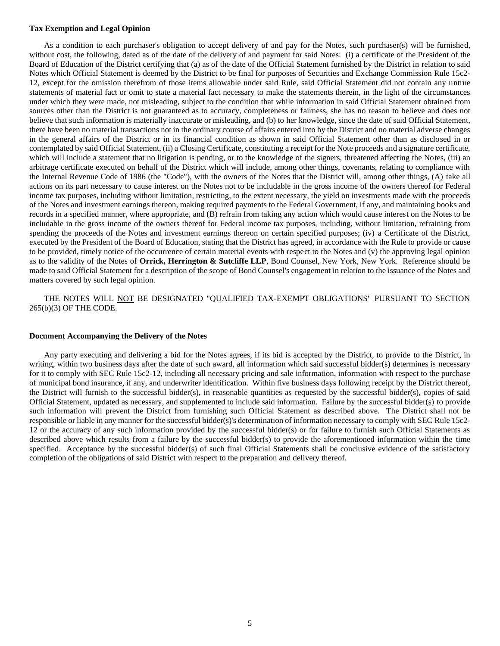#### **Tax Exemption and Legal Opinion**

As a condition to each purchaser's obligation to accept delivery of and pay for the Notes, such purchaser(s) will be furnished, without cost, the following, dated as of the date of the delivery of and payment for said Notes: (i) a certificate of the President of the Board of Education of the District certifying that (a) as of the date of the Official Statement furnished by the District in relation to said Notes which Official Statement is deemed by the District to be final for purposes of Securities and Exchange Commission Rule 15c2- 12, except for the omission therefrom of those items allowable under said Rule, said Official Statement did not contain any untrue statements of material fact or omit to state a material fact necessary to make the statements therein, in the light of the circumstances under which they were made, not misleading, subject to the condition that while information in said Official Statement obtained from sources other than the District is not guaranteed as to accuracy, completeness or fairness, she has no reason to believe and does not believe that such information is materially inaccurate or misleading, and (b) to her knowledge, since the date of said Official Statement, there have been no material transactions not in the ordinary course of affairs entered into by the District and no material adverse changes in the general affairs of the District or in its financial condition as shown in said Official Statement other than as disclosed in or contemplated by said Official Statement, (ii) a Closing Certificate, constituting a receipt for the Note proceeds and a signature certificate, which will include a statement that no litigation is pending, or to the knowledge of the signers, threatened affecting the Notes, (iii) an arbitrage certificate executed on behalf of the District which will include, among other things, covenants, relating to compliance with the Internal Revenue Code of 1986 (the "Code"), with the owners of the Notes that the District will, among other things, (A) take all actions on its part necessary to cause interest on the Notes not to be includable in the gross income of the owners thereof for Federal income tax purposes, including without limitation, restricting, to the extent necessary, the yield on investments made with the proceeds of the Notes and investment earnings thereon, making required payments to the Federal Government, if any, and maintaining books and records in a specified manner, where appropriate, and (B) refrain from taking any action which would cause interest on the Notes to be includable in the gross income of the owners thereof for Federal income tax purposes, including, without limitation, refraining from spending the proceeds of the Notes and investment earnings thereon on certain specified purposes; (iv) a Certificate of the District, executed by the President of the Board of Education, stating that the District has agreed, in accordance with the Rule to provide or cause to be provided, timely notice of the occurrence of certain material events with respect to the Notes and (v) the approving legal opinion as to the validity of the Notes of **Orrick, Herrington & Sutcliffe LLP**, Bond Counsel, New York, New York. Reference should be made to said Official Statement for a description of the scope of Bond Counsel's engagement in relation to the issuance of the Notes and matters covered by such legal opinion.

THE NOTES WILL NOT BE DESIGNATED "QUALIFIED TAX-EXEMPT OBLIGATIONS" PURSUANT TO SECTION 265(b)(3) OF THE CODE.

#### **Document Accompanying the Delivery of the Notes**

Any party executing and delivering a bid for the Notes agrees, if its bid is accepted by the District, to provide to the District, in writing, within two business days after the date of such award, all information which said successful bidder(s) determines is necessary for it to comply with SEC Rule 15c2-12, including all necessary pricing and sale information, information with respect to the purchase of municipal bond insurance, if any, and underwriter identification. Within five business days following receipt by the District thereof, the District will furnish to the successful bidder(s), in reasonable quantities as requested by the successful bidder(s), copies of said Official Statement, updated as necessary, and supplemented to include said information. Failure by the successful bidder(s) to provide such information will prevent the District from furnishing such Official Statement as described above. The District shall not be responsible or liable in any manner for the successful bidder(s)'s determination of information necessary to comply with SEC Rule 15c2- 12 or the accuracy of any such information provided by the successful bidder(s) or for failure to furnish such Official Statements as described above which results from a failure by the successful bidder(s) to provide the aforementioned information within the time specified. Acceptance by the successful bidder(s) of such final Official Statements shall be conclusive evidence of the satisfactory completion of the obligations of said District with respect to the preparation and delivery thereof.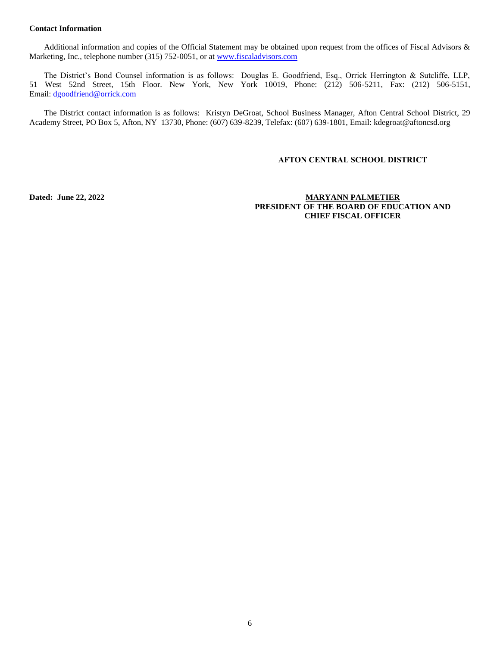# **Contact Information**

Additional information and copies of the Official Statement may be obtained upon request from the offices of Fiscal Advisors & Marketing, Inc., telephone number (315) 752-0051, or a[t www.fiscaladvisors.com](http://www.fiscaladvisors.com/)

The District's Bond Counsel information is as follows: Douglas E. Goodfriend, Esq., Orrick Herrington & Sutcliffe, LLP, 51 West 52nd Street, 15th Floor. New York, New York 10019, Phone: (212) 506-5211, Fax: (212) 506-5151, Email: [dgoodfriend@orrick.com](mailto:dgoodfriend@orrick.com)

The District contact information is as follows: Kristyn DeGroat, School Business Manager, Afton Central School District, 29 Academy Street, PO Box 5, Afton, NY 13730, Phone: (607) 639-8239, Telefax: (607) 639-1801, Email: kdegroat@aftoncsd.org

### **AFTON CENTRAL SCHOOL DISTRICT**

**Dated: June 22, 2022 MARYANN PALMETIER PRESIDENT OF THE BOARD OF EDUCATION AND CHIEF FISCAL OFFICER**